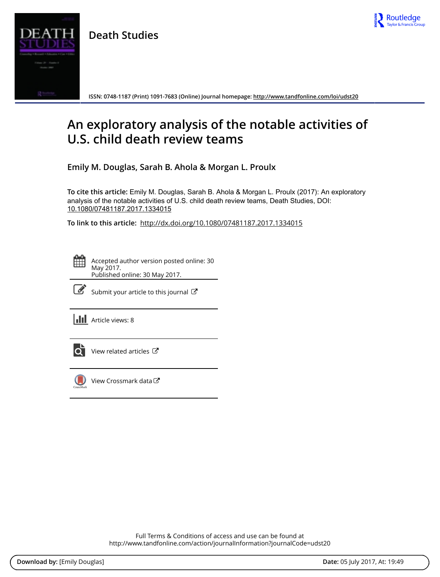

**Death Studies**



**ISSN: 0748-1187 (Print) 1091-7683 (Online) Journal homepage:<http://www.tandfonline.com/loi/udst20>**

# **An exploratory analysis of the notable activities of U.S. child death review teams**

**Emily M. Douglas, Sarah B. Ahola & Morgan L. Proulx**

**To cite this article:** Emily M. Douglas, Sarah B. Ahola & Morgan L. Proulx (2017): An exploratory analysis of the notable activities of U.S. child death review teams, Death Studies, DOI: [10.1080/07481187.2017.1334015](http://www.tandfonline.com/action/showCitFormats?doi=10.1080/07481187.2017.1334015)

**To link to this article:** <http://dx.doi.org/10.1080/07481187.2017.1334015>

Accepted author version posted online: 30 May 2017. Published online: 30 May 2017.



 $\mathbb{Z}$  [Submit your article to this journal](http://www.tandfonline.com/action/authorSubmission?journalCode=udst20&show=instructions)  $\mathbb{Z}$ 

**III** Article views: 8



[View related articles](http://www.tandfonline.com/doi/mlt/10.1080/07481187.2017.1334015) C



[View Crossmark data](http://crossmark.crossref.org/dialog/?doi=10.1080/07481187.2017.1334015&domain=pdf&date_stamp=2017-05-30)

Full Terms & Conditions of access and use can be found at <http://www.tandfonline.com/action/journalInformation?journalCode=udst20>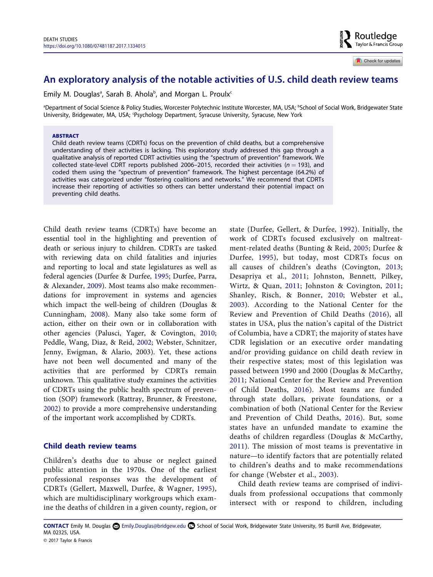## **An exploratory analysis of the notable activities of U.S. child death review teams**

Emily M. Douglas<sup>a</sup>, Sarah B. Ahola<sup>b</sup>, and Morgan L. Proulx<sup>c</sup>

ªDepartment of Social Science & Policy Studies, Worcester Polytechnic Institute Worcester, MA, USA; ʰSchool of Social Work, Bridgewater State University, Bridgewater, MA, USA; 'Psychology Department, Syracuse University, Syracuse, New York

#### **ABSTRACT**

Child death review teams (CDRTs) focus on the prevention of child deaths, but a comprehensive understanding of their activities is lacking. This exploratory study addressed this gap through a qualitative analysis of reported CDRT activities using the "spectrum of prevention" framework. We collected state-level CDRT reports published 2006–2015, recorded their activities ( $n = 193$ ), and coded them using the "spectrum of prevention" framework. The highest percentage (64.2%) of activities was categorized under "fostering coalitions and networks." We recommend that CDRTs increase their reporting of activities so others can better understand their potential impact on preventing child deaths.

Child death review teams (CDRTs) have become an essential tool in the highlighting and prevention of death or serious injury to children. CDRTs are tasked with reviewing data on child fatalities and injuries and reporting to local and state legislatures as well as federal agencies (Durfee & Durfee, [1995](#page-8-0); Durfee, Parra, & Alexander, [2009\)](#page-8-0). Most teams also make recommendations for improvement in systems and agencies which impact the well-being of children (Douglas & Cunningham, [2008\)](#page-7-0). Many also take some form of action, either on their own or in collaboration with other agencies (Palusci, Yager, & Covington, [2010;](#page-8-0) Peddle, Wang, Diaz, & Reid, [2002;](#page-7-0) Webster, Schnitzer, Jenny, Ewigman, & Alario, 2003). Yet, these actions have not been well documented and many of the activities that are performed by CDRTs remain unknown. This qualitative study examines the activities of CDRTs using the public health spectrum of prevention (SOP) framework (Rattray, Brunner, & Freestone, [2002\)](#page-8-0) to provide a more comprehensive understanding of the important work accomplished by CDRTs.

#### **Child death review teams**

Children's deaths due to abuse or neglect gained public attention in the 1970s. One of the earliest professional responses was the development of CDRTs (Gellert, Maxwell, Durfee, & Wagner, [1995\)](#page-8-0), which are multidisciplinary workgroups which examine the deaths of children in a given county, region, or

state (Durfee, Gellert, & Durfee, [1992\)](#page-8-0). Initially, the work of CDRTs focused exclusively on maltreatment-related deaths (Bunting & Reid, [2005;](#page-7-0) Durfee & Durfee, [1995](#page-8-0)), but today, most CDRTs focus on all causes of children's deaths (Covington, [2013;](#page-7-0) Desapriya et al., [2011;](#page-7-0) Johnston, Bennett, Pilkey, Wirtz, & Quan, [2011;](#page-7-0) Johnston & Covington, [2011;](#page-8-0) Shanley, Risch, & Bonner, [2010;](#page-8-0) Webster et al., [2003\)](#page-8-0). According to the National Center for the Review and Prevention of Child Deaths ([2016](#page-8-0)), all states in USA, plus the nation's capital of the District of Columbia, have a CDRT; the majority of states have CDR legislation or an executive order mandating and/or providing guidance on child death review in their respective states; most of this legislation was passed between 1990 and 2000 (Douglas & McCarthy, [2011;](#page-7-0) National Center for the Review and Prevention of Child Deaths, [2016](#page-8-0)). Most teams are funded through state dollars, private foundations, or a combination of both (National Center for the Review and Prevention of Child Deaths, [2016](#page-8-0)). But, some states have an unfunded mandate to examine the deaths of children regardless (Douglas & McCarthy, [2011\)](#page-7-0). The mission of most teams is preventative in nature—to identify factors that are potentially related to children's deaths and to make recommendations for change (Webster et al., [2003](#page-8-0)).

Child death review teams are comprised of individuals from professional occupations that commonly intersect with or respond to children, including

**CONTACT** Emily M. Douglas [Emily.Douglas@bridgew.edu](mailto:Emily.Douglas@bridgew.edu) School of Social Work, Bridgewater State University, 95 Burrill Ave, Bridgewater, MA 02325, USA. © 2017 Taylor & Francis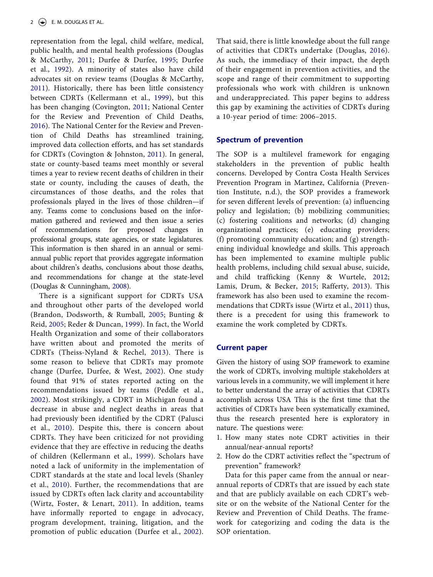representation from the legal, child welfare, medical, public health, and mental health professions (Douglas & McCarthy, [2011](#page-7-0); Durfee & Durfee, [1995](#page-8-0); Durfee et al., [1992\)](#page-8-0). A minority of states also have child advocates sit on review teams (Douglas & McCarthy, [2011](#page-7-0)). Historically, there has been little consistency between CDRTs (Kellermann et al., [1999\)](#page-8-0), but this has been changing (Covington, [2011;](#page-7-0) National Center for the Review and Prevention of Child Deaths, [2016](#page-8-0)). The National Center for the Review and Prevention of Child Deaths has streamlined training, improved data collection efforts, and has set standards for CDRTs (Covington & Johnston, [2011\)](#page-8-0). In general, state or county-based teams meet monthly or several times a year to review recent deaths of children in their state or county, including the causes of death, the circumstances of those deaths, and the roles that professionals played in the lives of those children—if any. Teams come to conclusions based on the information gathered and reviewed and then issue a series of recommendations for proposed changes in professional groups, state agencies, or state legislatures. This information is then shared in an annual or semiannual public report that provides aggregate information about children's deaths, conclusions about those deaths, and recommendations for change at the state-level (Douglas & Cunningham, [2008\)](#page-7-0).

There is a significant support for CDRTs USA and throughout other parts of the developed world (Brandon, Dodsworth, & Rumball, [2005;](#page-7-0) Bunting & Reid, [2005;](#page-7-0) Reder & Duncan, [1999](#page-8-0)). In fact, the World Health Organization and some of their collaborators have written about and promoted the merits of CDRTs (Theiss-Nyland & Rechel, [2013\)](#page-8-0). There is some reason to believe that CDRTs may promote change (Durfee, Durfee, & West, [2002](#page-7-0)). One study found that 91% of states reported acting on the recommendations issued by teams (Peddle et al., [2002\)](#page-8-0). Most strikingly, a CDRT in Michigan found a decrease in abuse and neglect deaths in areas that had previously been identified by the CDRT (Palusci et al., [2010](#page-8-0)). Despite this, there is concern about CDRTs. They have been criticized for not providing evidence that they are effective in reducing the deaths of children (Kellermann et al., [1999\)](#page-8-0). Scholars have noted a lack of uniformity in the implementation of CDRT standards at the state and local levels (Shanley et al., [2010\)](#page-8-0). Further, the recommendations that are issued by CDRTs often lack clarity and accountability (Wirtz, Foster, & Lenart, [2011](#page-8-0)). In addition, teams have informally reported to engage in advocacy, program development, training, litigation, and the promotion of public education (Durfee et al., [2002\)](#page-7-0).

That said, there is little knowledge about the full range of activities that CDRTs undertake (Douglas, [2016](#page-7-0)). As such, the immediacy of their impact, the depth of their engagement in prevention activities, and the scope and range of their commitment to supporting professionals who work with children is unknown and underappreciated. This paper begins to address this gap by examining the activities of CDRTs during a 10-year period of time: 2006–2015.

#### **Spectrum of prevention**

The SOP is a multilevel framework for engaging stakeholders in the prevention of public health concerns. Developed by Contra Costa Health Services Prevention Program in Martinez, California (Prevention Institute, n.d.), the SOP provides a framework for seven different levels of prevention: (a) influencing policy and legislation; (b) mobilizing communities; (c) fostering coalitions and networks; (d) changing organizational practices; (e) educating providers; (f) promoting community education; and (g) strengthening individual knowledge and skills. This approach has been implemented to examine multiple public health problems, including child sexual abuse, suicide, and child trafficking (Kenny & Wurtele, [2012;](#page-8-0) Lamis, Drum, & Becker, [2015](#page-8-0); Rafferty, [2013](#page-8-0)). This framework has also been used to examine the recommendations that CDRTs issue (Wirtz et al., [2011\)](#page-8-0) thus, there is a precedent for using this framework to examine the work completed by CDRTs.

#### **Current paper**

Given the history of using SOP framework to examine the work of CDRTs, involving multiple stakeholders at various levels in a community, we will implement it here to better understand the array of activities that CDRTs accomplish across USA This is the first time that the activities of CDRTs have been systematically examined, thus the research presented here is exploratory in nature. The questions were:

- 1. How many states note CDRT activities in their annual/near-annual reports?
- 2. How do the CDRT activities reflect the "spectrum of prevention" framework?

Data for this paper came from the annual or nearannual reports of CDRTs that are issued by each state and that are publicly available on each CDRT's website or on the website of the National Center for the Review and Prevention of Child Deaths. The framework for categorizing and coding the data is the SOP orientation.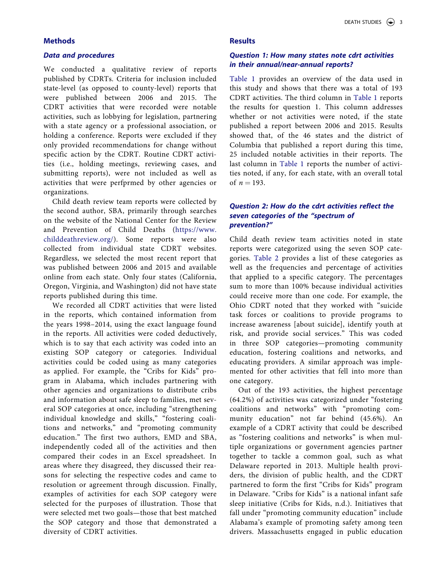## **Methods**

## *Data and procedures*

We conducted a qualitative review of reports published by CDRTs. Criteria for inclusion included state-level (as opposed to county-level) reports that were published between 2006 and 2015. The CDRT activities that were recorded were notable activities, such as lobbying for legislation, partnering with a state agency or a professional association, or holding a conference. Reports were excluded if they only provided recommendations for change without specific action by the CDRT. Routine CDRT activities (i.e., holding meetings, reviewing cases, and submitting reports), were not included as well as activities that were perfprmed by other agencies or organizations.

Child death review team reports were collected by the second author, SBA, primarily through searches on the website of the National Center for the Review and Prevention of Child Deaths [\(https://www.](http://www.childdeathreview.org/) [childdeathreview.org/\)](http://www.childdeathreview.org/). Some reports were also collected from individual state CDRT websites. Regardless, we selected the most recent report that was published between 2006 and 2015 and available online from each state. Only four states (California, Oregon, Virginia, and Washington) did not have state reports published during this time.

We recorded all CDRT activities that were listed in the reports, which contained information from the years 1998–2014, using the exact language found in the reports. All activities were coded deductively, which is to say that each activity was coded into an existing SOP category or categories. Individual activities could be coded using as many categories as applied. For example, the "Cribs for Kids" program in Alabama, which includes partnering with other agencies and organizations to distribute cribs and information about safe sleep to families, met several SOP categories at once, including "strengthening individual knowledge and skills," "fostering coalitions and networks," and "promoting community education." The first two authors, EMD and SBA, independently coded all of the activities and then compared their codes in an Excel spreadsheet. In areas where they disagreed, they discussed their reasons for selecting the respective codes and came to resolution or agreement through discussion. Finally, examples of activities for each SOP category were selected for the purposes of illustration. Those that were selected met two goals—those that best matched the SOP category and those that demonstrated a diversity of CDRT activities.

#### **Results**

## *Question 1: How many states note cdrt activities in their annual/near-annual reports?*

[Table 1](#page-4-0) provides an overview of the data used in this study and shows that there was a total of 193 CDRT activities. The third column in [Table 1](#page-4-0) reports the results for question 1. This column addresses whether or not activities were noted, if the state published a report between 2006 and 2015. Results showed that, of the 46 states and the district of Columbia that published a report during this time, 25 included notable activities in their reports. The last column in [Table 1](#page-4-0) reports the number of activities noted, if any, for each state, with an overall total of  $n = 193$ .

## *Question 2: How do the cdrt activities reflect the seven categories of the "spectrum of prevention?"*

Child death review team activities noted in state reports were categorized using the seven SOP categories. [Table 2](#page-4-0) provides a list of these categories as well as the frequencies and percentage of activities that applied to a specific category. The percentages sum to more than 100% because individual activities could receive more than one code. For example, the Ohio CDRT noted that they worked with "suicide task forces or coalitions to provide programs to increase awareness [about suicide], identify youth at risk, and provide social services." This was coded in three SOP categories—promoting community education, fostering coalitions and networks, and educating providers. A similar approach was implemented for other activities that fell into more than one category.

Out of the 193 activities, the highest percentage (64.2%) of activities was categorized under "fostering coalitions and networks" with "promoting community education" not far behind (45.6%). An example of a CDRT activity that could be described as "fostering coalitions and networks" is when multiple organizations or government agencies partner together to tackle a common goal, such as what Delaware reported in 2013. Multiple health providers, the division of public health, and the CDRT partnered to form the first "Cribs for Kids" program in Delaware. "Cribs for Kids" is a national infant safe sleep initiative (Cribs for Kids, n.d.). Initiatives that fall under "promoting community education" include Alabama's example of promoting safety among teen drivers. Massachusetts engaged in public education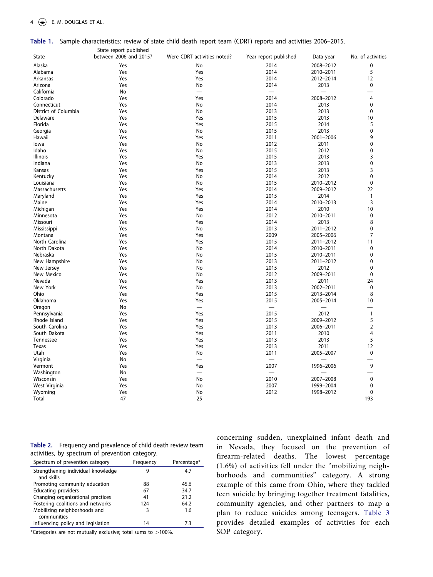<span id="page-4-0"></span>

|  | Table 1. Sample characteristics: review of state child death report team (CDRT) reports and activities 2006–2015. |  |  |  |  |  |  |  |
|--|-------------------------------------------------------------------------------------------------------------------|--|--|--|--|--|--|--|
|--|-------------------------------------------------------------------------------------------------------------------|--|--|--|--|--|--|--|

|                      | State report published |                             |                       |             |                   |
|----------------------|------------------------|-----------------------------|-----------------------|-------------|-------------------|
| <b>State</b>         | between 2006 and 2015? | Were CDRT activities noted? | Year report published | Data year   | No. of activities |
| Alaska               | Yes                    | No                          | 2014                  | 2008-2012   | 0                 |
| Alabama              | Yes                    | Yes                         | 2014                  | 2010-2011   | 5                 |
| Arkansas             | Yes                    | Yes                         | 2014                  | 2012-2014   | 12                |
| Arizona              | Yes                    | No                          | 2014                  | 2013        | 0                 |
| California           | No                     | ÷.                          |                       |             |                   |
| Colorado             | Yes                    | Yes                         | 2014                  | 2008-2012   | 4                 |
| Connecticut          | Yes                    | No                          | 2014                  | 2013        | 0                 |
| District of Columbia | Yes                    | No                          | 2013                  | 2013        | $\mathbf{0}$      |
| Delaware             | Yes                    | Yes                         | 2015                  | 2013        | 10                |
| Florida              | Yes                    | Yes                         | 2015                  | 2014        | 5                 |
| Georgia              | Yes                    | No                          | 2015                  | 2013        | 0                 |
| Hawaii               | Yes                    | Yes                         | 2011                  | 2001-2006   | 9                 |
| lowa                 | Yes                    | No                          | 2012                  | 2011        | 0                 |
| Idaho                | Yes                    | No                          | 2015                  | 2012        | 0                 |
| <b>Illinois</b>      | Yes                    | Yes                         | 2015                  | 2013        | 3                 |
| Indiana              | Yes                    | No                          | 2013                  | 2013        | 0                 |
|                      |                        |                             | 2015                  | 2013        | 3                 |
| Kansas               | Yes                    | Yes                         |                       |             |                   |
| Kentucky             | Yes                    | No                          | 2014                  | 2012        | 0                 |
| Louisiana            | Yes                    | No                          | 2015                  | 2010-2012   | 0                 |
| Massachusetts        | Yes                    | Yes                         | 2014                  | 2009-2012   | 22                |
| Maryland             | Yes                    | Yes                         | 2015                  | 2014        | $\mathbf{1}$      |
| Maine                | Yes                    | Yes                         | 2014                  | 2010-2013   | 3                 |
| Michigan             | Yes                    | Yes                         | 2014                  | 2010        | 10                |
| Minnesota            | Yes                    | No                          | 2012                  | 2010-2011   | 0                 |
| Missouri             | Yes                    | Yes                         | 2014                  | 2013        | 8                 |
| Mississippi          | Yes                    | No                          | 2013                  | 2011-2012   | 0                 |
| Montana              | Yes                    | Yes                         | 2009                  | 2005-2006   | 7                 |
| North Carolina       | Yes                    | Yes                         | 2015                  | 2011-2012   | 11                |
| North Dakota         | Yes                    | No                          | 2014                  | 2010-2011   | 0                 |
| Nebraska             | Yes                    | No                          | 2015                  | 2010-2011   | 0                 |
| New Hampshire        | Yes                    | No                          | 2013                  | 2011-2012   | 0                 |
| New Jersey           | Yes                    | No                          | 2015                  | 2012        | 0                 |
| New Mexico           | Yes                    | No                          | 2012                  | 2009-2011   | 0                 |
| Nevada               | Yes                    | Yes                         | 2013                  | 2011        | 24                |
| New York             | Yes                    | No                          | 2013                  | 2002-2011   | 0                 |
| Ohio                 | Yes                    | Yes                         | 2015                  | 2013-2014   | 8                 |
| Oklahoma             | Yes                    | Yes                         | 2015                  | 2005-2014   | 10                |
| Oregon               | No                     | $\overline{\phantom{0}}$    | ш.                    | <u>in a</u> |                   |
| Pennsylvania         | Yes                    | Yes                         | 2015                  | 2012        | $\mathbf{1}$      |
| Rhode Island         | Yes                    | Yes                         | 2015                  | 2009-2012   | 5                 |
| South Carolina       | Yes                    | Yes                         | 2013                  | 2006-2011   | $\overline{2}$    |
| South Dakota         | Yes                    | Yes                         | 2011                  | 2010        | 4                 |
| Tennessee            | Yes                    | Yes                         | 2013                  | 2013        | 5                 |
| Texas                | Yes                    | Yes                         | 2013                  | 2011        | 12                |
| Utah                 | Yes                    | No                          | 2011                  | 2005-2007   | 0                 |
| Virginia             | No                     |                             |                       |             |                   |
| Vermont              | Yes                    | Yes                         | 2007                  | 1996-2006   | 9                 |
| Washington           | No                     |                             |                       |             |                   |
| Wisconsin            | Yes                    | No                          | 2010                  | 2007-2008   | 0                 |
| West Virginia        | Yes                    | No                          | 2007                  | 1999-2004   | 0                 |
| Wyoming              | Yes                    | No                          | 2012                  | 1998-2012   | 0                 |
| Total                | 47                     | 25                          |                       |             | 193               |
|                      |                        |                             |                       |             |                   |

| Table 2. Frequency and prevalence of child death review team |
|--------------------------------------------------------------|
| activities, by spectrum of prevention category.              |

| Spectrum of prevention category                  | Frequency | Percentage* |
|--------------------------------------------------|-----------|-------------|
| Strengthening individual knowledge<br>and skills | 9         | 4.7         |
| Promoting community education                    | 88        | 45.6        |
| <b>Educating providers</b>                       | 67        | 34.7        |
| Changing organizational practices                | 41        | 21.2        |
| Fostering coalitions and networks                | 124       | 64.2        |
| Mobilizing neighborhoods and<br>communities      | 3         | 1.6         |
| Influencing policy and legislation               | 14        | 7.3         |
|                                                  |           |             |

\*Categories are not mutually exclusive; total sums to *>*100%.

concerning sudden, unexplained infant death and in Nevada, they focused on the prevention of firearm-related deaths. The lowest percentage (1.6%) of activities fell under the "mobilizing neighborhoods and communities" category. A strong example of this came from Ohio, where they tackled teen suicide by bringing together treatment fatalities, community agencies, and other partners to map a plan to reduce suicides among teenagers. [Table 3](#page-5-0)  provides detailed examples of activities for each SOP category.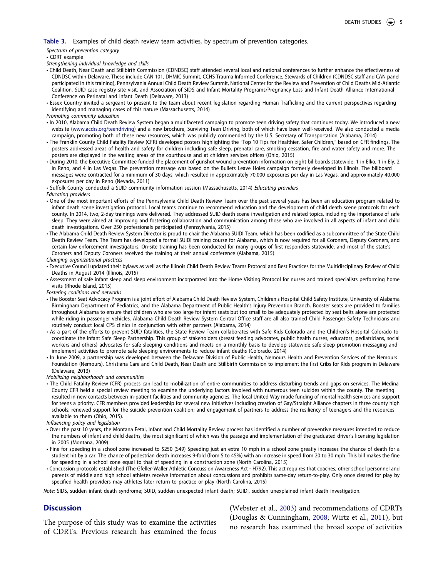#### <span id="page-5-0"></span>**Table 3.** Examples of child death review team activities, by spectrum of prevention categories.

*Spectrum of prevention category* 

• CDRT example

- *Strengthening individual knowledge and skills*
- Child Death, Near Death and Stillbirth Commission (CDNDSC) staff attended several local and national conferences to further enhance the effectiveness of CDNDSC within Delaware. These include CAN 101, DHMIC Summit, CCHS Trauma Informed Conference, Stewards of Children (CDNDSC staff and CAN panel participated in this training), Pennsylvania Annual Child Death Review Summit, National Center for the Review and Prevention of Child Deaths Mid-Atlantic Coalition, SUID case registry site visit, and Association of SIDS and Infant Mortality Programs/Pregnancy Loss and Infant Death Alliance International Conference on Perinatal and Infant Death (Delaware, 2013)
- Essex Country invited a sergeant to present to the team about recent legislation regarding Human Trafficking and the current perspectives regarding identifying and managing cases of this nature (Massachusetts, 2014)
- *Promoting community education*
- In 2010, Alabama Child Death Review System began a multifaceted campaign to promote teen driving safety that continues today. We introduced a new website ([www.acdrs.org/teendriving](http://www.acdrs.org/teendriving)) and a new brochure, Surviving Teen Driving, both of which have been well-received. We also conducted a media campaign, promoting both of these new resources, which was publicly commended by the U.S. Secretary of Transportation (Alabama, 2014)
- The Franklin County Child Fatality Review (CFR) developed posters highlighting the "Top 10 Tips for Healthier, Safer Children," based on CFR findings. The posters addressed areas of health and safety for children including safe sleep, prenatal care, smoking cessation, fire and water safety and more. The posters are displayed in the waiting areas of the courthouse and at children services offices (Ohio, 2015)
- During 2010, the Executive Committee funded the placement of gunshot wound prevention information on eight billboards statewide: 1 in Elko, 1 in Ely, 2 in Reno, and 4 in Las Vegas. The prevention message was based on the Bullets Leave Holes campaign formerly developed in Illinois. The billboard messages were contracted for a minimum of 30 days, which resulted in approximately 70,000 exposures per day in Las Vegas, and approximately 40,000 exposures per day in Reno (Nevada, 2011)
- Suffolk County conducted a SUID community information session (Massachusetts, 2014) *Educating providers*

#### *Educating providers*

- One of the most important efforts of the Pennsylvania Child Death Review Team over the past several years has been an education program related to infant death scene investigation protocol. Local teams continue to recommend education and the development of child death scene protocols for each county. In 2014, two, 2-day trainings were delivered. They addressed SUID death scene investigation and related topics, including the importance of safe sleep. They were aimed at improving and fostering collaboration and communication among those who are involved in all aspects of infant and child death investigations. Over 250 professionals participated (Pennsylvania, 2015)
- The Alabama Child Death Review System Director is proud to chair the Alabama SUIDI Team, which has been codified as a subcommittee of the State Child Death Review Team. The Team has developed a formal SUIDI training course for Alabama, which is now required for all Coroners, Deputy Coroners, and certain law enforcement investigators. On-site training has been conducted for many groups of first responders statewide, and most of the state's Coroners and Deputy Coroners received the training at their annual conference (Alabama, 2015)
- *Changing organizational practices*
- Executive Council updated their bylaws as well as the Illinois Child Death Review Teams Protocol and Best Practices for the Multidisciplinary Review of Child Deaths in August 2014 (Illinois, 2015)
- Assessment of safe infant sleep and sleep environment incorporated into the Home Visiting Protocol for nurses and trained specialists performing home visits (Rhode Island, 2015)
- *Fostering coalitions and networks*
- The Booster Seat Advocacy Program is a joint effort of Alabama Child Death Review System, Children's Hospital Child Safety Institute, University of Alabama Birmingham Department of Pediatrics, and the Alabama Department of Public Health's Injury Prevention Branch. Booster seats are provided to families throughout Alabama to ensure that children who are too large for infant seats but too small to be adequately protected by seat belts alone are protected while riding in passenger vehicles. Alabama Child Death Review System Central Office staff are all also trained Child Passenger Safety Technicians and routinely conduct local CPS clinics in conjunction with other partners (Alabama, 2014)
- As a part of the efforts to prevent SUID fatalities, the State Review Team collaborates with Safe Kids Colorado and the Children's Hospital Colorado to coordinate the Infant Safe Sleep Partnership. This group of stakeholders (breast feeding advocates, public health nurses, educators, pediatricians, social workers and others) advocates for safe sleeping conditions and meets on a monthly basis to develop statewide safe sleep promotion messaging and implement activities to promote safe sleeping environments to reduce infant deaths (Colorado, 2014)
- In June 2009, a partnership was developed between the Delaware Division of Public Health, Nemours Health and Prevention Services of the Nemours Foundation (Nemours), Christiana Care and Child Death, Near Death and Stillbirth Commission to implement the first Cribs for Kids program in Delaware (Delaware, 2013)

*Mobilizing neighborhoods and communities* 

• The Child Fatality Review (CFR) process can lead to mobilization of entire communities to address disturbing trends and gaps on services. The Medina County CFR held a special review meeting to examine the underlying factors involved with numerous teen suicides within the county. The meeting resulted in new contacts between in-patient facilities and community agencies. The local United Way made funding of mental health services and support for teens a priority. CFR members provided leadership for several new initiatives including creation of Gay/Straight Alliance chapters in three county high schools; renewed support for the suicide prevention coalition; and engagement of partners to address the resiliency of teenagers and the resources available to them (Ohio, 2015).

*Influencing policy and legislation* 

- Over the past 10 years, the Montana Fetal, Infant and Child Mortality Review process has identified a number of preventive measures intended to reduce the numbers of infant and child deaths, the most significant of which was the passage and implementation of the graduated driver's licensing legislation in 2005 (Montana, 2009)
- Fine for speeding in a school zone increased to \$250 (S49) Speeding just an extra 10 mph in a school zone greatly increases the chance of death for a student hit by a car. The chance of pedestrian death increases 9-fold (from 5 to 45%) with an increase in speed from 20 to 30 mph. This bill makes the fine for speeding in a school zone equal to that of speeding in a construction zone (North Carolina, 2015)
- Concussion protocols established (The Gfeller-Waller Athletic Concussion Awareness Act H792). This act requires that coaches, other school personnel and parents of middle and high school athletes receive information about concussions and prohibits same-day return-to-play. Only once cleared for play by specified health providers may athletes later return to practice or play (North Carolina, 2015)

*Note:* SIDS, sudden infant death syndrome; SUID, sudden unexpected infant death; SUIDI, sudden unexplained infant death investigation.

## **Discussion**

The purpose of this study was to examine the activities of CDRTs. Previous research has examined the focus

(Webster et al., [2003](#page-8-0)) and recommendations of CDRTs (Douglas & Cunningham, [2008](#page-7-0); Wirtz et al., [2011\)](#page-8-0), but no research has examined the broad scope of activities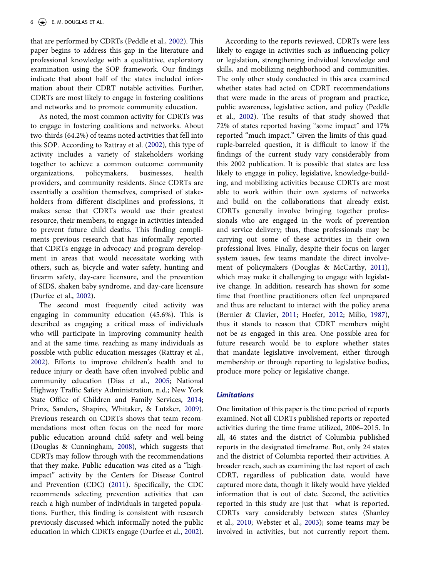that are performed by CDRTs (Peddle et al., [2002\)](#page-8-0). This paper begins to address this gap in the literature and professional knowledge with a qualitative, exploratory examination using the SOP framework. Our findings indicate that about half of the states included information about their CDRT notable activities. Further, CDRTs are most likely to engage in fostering coalitions and networks and to promote community education.

As noted, the most common activity for CDRTs was to engage in fostering coalitions and networks. About two-thirds (64.2%) of teams noted activities that fell into this SOP. According to Rattray et al. ([2002\)](#page-8-0), this type of activity includes a variety of stakeholders working together to achieve a common outcome: community organizations, policymakers, businesses, health providers, and community residents. Since CDRTs are essentially a coalition themselves, comprised of stakeholders from different disciplines and professions, it makes sense that CDRTs would use their greatest resource, their members, to engage in activities intended to prevent future child deaths. This finding compliments previous research that has informally reported that CDRTs engage in advocacy and program development in areas that would necessitate working with others, such as, bicycle and water safety, hunting and firearm safety, day-care licensure, and the prevention of SIDS, shaken baby syndrome, and day-care licensure (Durfee et al., [2002\)](#page-7-0).

The second most frequently cited activity was engaging in community education (45.6%). This is described as engaging a critical mass of individuals who will participate in improving community health and at the same time, reaching as many individuals as possible with public education messages (Rattray et al., [2002\)](#page-8-0). Efforts to improve children's health and to reduce injury or death have often involved public and community education (Dias et al., [2005](#page-7-0); National Highway Traffic Safety Administration, n.d.; New York State Office of Children and Family Services, [2014;](#page-8-0) Prinz, Sanders, Shapiro, Whitaker, & Lutzker, [2009](#page-8-0)). Previous research on CDRTs shows that team recommendations most often focus on the need for more public education around child safety and well-being (Douglas & Cunningham, [2008](#page-7-0)), which suggests that CDRTs may follow through with the recommendations that they make. Public education was cited as a "highimpact" activity by the Centers for Disease Control and Prevention (CDC) ([2011\)](#page-7-0). Specifically, the CDC recommends selecting prevention activities that can reach a high number of individuals in targeted populations. Further, this finding is consistent with research previously discussed which informally noted the public education in which CDRTs engage (Durfee et al., [2002](#page-7-0)).

According to the reports reviewed, CDRTs were less likely to engage in activities such as influencing policy or legislation, strengthening individual knowledge and skills, and mobilizing neighborhood and communities. The only other study conducted in this area examined whether states had acted on CDRT recommendations that were made in the areas of program and practice, public awareness, legislative action, and policy (Peddle et al., [2002](#page-8-0)). The results of that study showed that 72% of states reported having "some impact" and 17% reported "much impact." Given the limits of this quadruple-barreled question, it is difficult to know if the findings of the current study vary considerably from this 2002 publication. It is possible that states are less likely to engage in policy, legislative, knowledge-building, and mobilizing activities because CDRTs are most able to work within their own systems of networks and build on the collaborations that already exist. CDRTs generally involve bringing together professionals who are engaged in the work of prevention and service delivery; thus, these professionals may be carrying out some of these activities in their own professional lives. Finally, despite their focus on larger system issues, few teams mandate the direct involvement of policymakers (Douglas & McCarthy, [2011](#page-7-0)), which may make it challenging to engage with legislative change. In addition, research has shown for some time that frontline practitioners often feel unprepared and thus are reluctant to interact with the policy arena (Bernier & Clavier, [2011;](#page-7-0) Hoefer, [2012;](#page-8-0) Milio, [1987](#page-8-0)), thus it stands to reason that CDRT members might not be as engaged in this area. One possible area for future research would be to explore whether states that mandate legislative involvement, either through membership or through reporting to legislative bodies, produce more policy or legislative change.

## *Limitations*

One limitation of this paper is the time period of reports examined. Not all CDRTs published reports or reported activities during the time frame utilized, 2006–2015. In all, 46 states and the district of Columbia published reports in the designated timeframe. But, only 24 states and the district of Columbia reported their activities. A broader reach, such as examining the last report of each CDRT, regardless of publication date, would have captured more data, though it likely would have yielded information that is out of date. Second, the activities reported in this study are just that—what is reported. CDRTs vary considerably between states (Shanley et al., [2010;](#page-8-0) Webster et al., [2003\)](#page-8-0); some teams may be involved in activities, but not currently report them.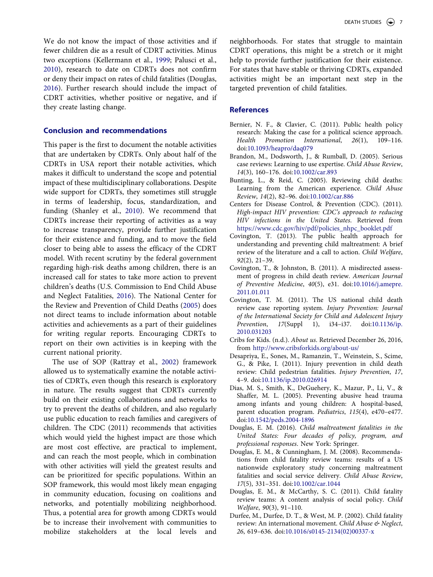<span id="page-7-0"></span>We do not know the impact of those activities and if fewer children die as a result of CDRT activities. Minus two exceptions (Kellermann et al., [1999](#page-8-0); Palusci et al., [2010\)](#page-8-0), research to date on CDRTs does not confirm or deny their impact on rates of child fatalities (Douglas, 2016). Further research should include the impact of CDRT activities, whether positive or negative, and if they create lasting change.

#### **Conclusion and recommendations**

This paper is the first to document the notable activities that are undertaken by CDRTs. Only about half of the CDRTs in USA report their notable activities, which makes it difficult to understand the scope and potential impact of these multidisciplinary collaborations. Despite wide support for CDRTs, they sometimes still struggle in terms of leadership, focus, standardization, and funding (Shanley et al., [2010\)](#page-8-0). We recommend that CDRTs increase their reporting of activities as a way to increase transparency, provide further justification for their existence and funding, and to move the field closer to being able to assess the efficacy of the CDRT model. With recent scrutiny by the federal government regarding high-risk deaths among children, there is an increased call for states to take more action to prevent children's deaths (U.S. Commission to End Child Abuse and Neglect Fatalities, [2016](#page-8-0)). The National Center for the Review and Prevention of Child Deaths [\(2005](#page-8-0)) does not direct teams to include information about notable activities and achievements as a part of their guidelines for writing regular reports. Encouraging CDRTs to report on their own activities is in keeping with the current national priority.

The use of SOP (Rattray et al., [2002\)](#page-8-0) framework allowed us to systematically examine the notable activities of CDRTs, even though this research is exploratory in nature. The results suggest that CDRTs currently build on their existing collaborations and networks to try to prevent the deaths of children, and also regularly use public education to reach families and caregivers of children. The CDC (2011) recommends that activities which would yield the highest impact are those which are most cost effective, are practical to implement, and can reach the most people, which in combination with other activities will yield the greatest results and can be prioritized for specific populations. Within an SOP framework, this would most likely mean engaging in community education, focusing on coalitions and networks, and potentially mobilizing neighborhood. Thus, a potential area for growth among CDRTs would be to increase their involvement with communities to mobilize stakeholders at the local levels and

neighborhoods. For states that struggle to maintain CDRT operations, this might be a stretch or it might help to provide further justification for their existence. For states that have stable or thriving CDRTs, expanded activities might be an important next step in the targeted prevention of child fatalities.

#### **References**

- Bernier, N. F., & Clavier, C. (2011). Public health policy research: Making the case for a political science approach. *Health Promotion International*, *26*(1), 109–116. doi[:10.1093/heapro/daq079](https://doi.org/10.1093/heapro/daq079)
- Brandon, M., Dodsworth, J., & Rumball, D. (2005). Serious case reviews: Learning to use expertise. *Child Abuse Review*, *14*(3), 160–176. doi[:10.1002/car.893](https://doi.org/10.1002/car.893)
- Bunting, L., & Reid, C. (2005). Reviewing child deaths: Learning from the American experience. *Child Abuse Review*, *14*(2), 82–96. doi:[10.1002/car.886](https://doi.org/10.1002/car.886)
- Centers for Disease Control, & Prevention (CDC). (2011). *High-impact HIV prevention: CDC's approach to reducing HIV infections in the United States*. Retrieved from [https://www.cdc.gov/hiv/pdf/policies\\_nhpc\\_booklet.pdf](http://www.cdc.gov/hiv/pdf/policies_nhpc_booklet.pdf)
- Covington, T. (2013). The public health approach for understanding and preventing child maltreatment: A brief review of the literature and a call to action. *Child Welfare*, *92*(2), 21–39.
- Covington, T., & Johnston, B. (2011). A misdirected assessment of progress in child death review. *American Journal of Preventive Medicine*, *40*(5), e31. doi[:10.1016/j.amepre.](https://doi.org/10.1016/j.amepre.2011.01.011) [2011.01.011](https://doi.org/10.1016/j.amepre.2011.01.011)
- Covington, T. M. (2011). The US national child death review case reporting system. *Injury Prevention: Journal of the International Society for Child and Adolescent Injury Prevention*, *17*(Suppl 1), i34–i37. doi[:10.1136/ip.](https://doi.org/10.1136/ip.2010.031203) [2010.031203](https://doi.org/10.1136/ip.2010.031203)
- Cribs for Kids. (n.d.). *About us*. Retrieved December 26, 2016, from <http://www.cribsforkids.org/about-us/>
- Desapriya, E., Sones, M., Ramanzin, T., Weinstein, S., Scime, G., & Pike, I. (2011). Injury prevention in child death review: Child pedestrian fatalities. *Injury Prevention*, *17*, 4–9. doi:[10.1136/ip.2010.026914](https://doi.org/10.1136/ip.2010.026914)
- Dias, M. S., Smith, K., DeGuehery, K., Mazur, P., Li, V., & Shaffer, M. L. (2005). Preventing abusive head trauma among infants and young children: A hospital-based, parent education program. *Pediatrics*, *115*(4), e470–e477. doi[:10.1542/peds.2004-1896](https://doi.org/10.1542/peds.2004-1896)
- Douglas, E. M. (2016). *Child maltreatment fatalities in the United States: Four decades of policy, program, and professional responses*. New York: Springer.
- Douglas, E. M., & Cunningham, J. M. (2008). Recommendations from child fatality review teams: results of a US nationwide exploratory study concerning maltreatment fatalities and social service delivery. *Child Abuse Review*, *17*(5), 331–351. doi[:10.1002/car.1044](https://doi.org/10.1002/car.1044)
- Douglas, E. M., & McCarthy, S. C. (2011). Child fatality review teams: A content analysis of social policy. *Child Welfare*, *90*(3), 91–110.
- Durfee, M., Durfee, D. T., & West, M. P. (2002). Child fatality review: An international movement. *Child Abuse & Neglect*, *26*, 619–636. doi[:10.1016/s0145-2134\(02\)00337-x](https://doi.org/10.1016/s0145-2134(02)00337-x)